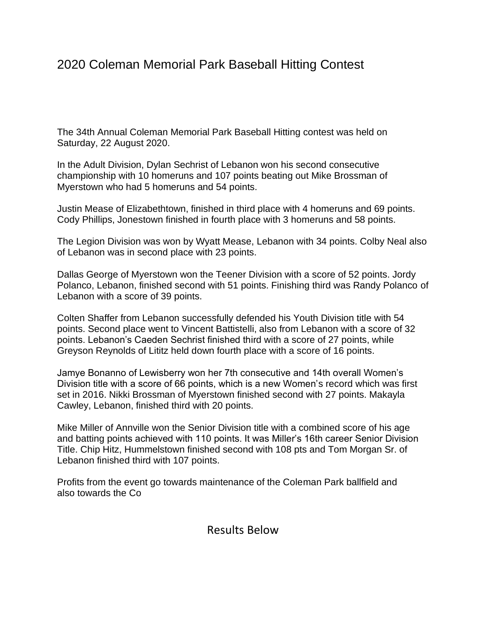## 2020 Coleman Memorial Park Baseball Hitting Contest

The 34th Annual Coleman Memorial Park Baseball Hitting contest was held on Saturday, 22 August 2020.

In the Adult Division, Dylan Sechrist of Lebanon won his second consecutive championship with 10 homeruns and 107 points beating out Mike Brossman of Myerstown who had 5 homeruns and 54 points.

Justin Mease of Elizabethtown, finished in third place with 4 homeruns and 69 points. Cody Phillips, Jonestown finished in fourth place with 3 homeruns and 58 points.

The Legion Division was won by Wyatt Mease, Lebanon with 34 points. Colby Neal also of Lebanon was in second place with 23 points.

Dallas George of Myerstown won the Teener Division with a score of 52 points. Jordy Polanco, Lebanon, finished second with 51 points. Finishing third was Randy Polanco of Lebanon with a score of 39 points.

Colten Shaffer from Lebanon successfully defended his Youth Division title with 54 points. Second place went to Vincent Battistelli, also from Lebanon with a score of 32 points. Lebanon's Caeden Sechrist finished third with a score of 27 points, while Greyson Reynolds of Lititz held down fourth place with a score of 16 points.

Jamye Bonanno of Lewisberry won her 7th consecutive and 14th overall Women's Division title with a score of 66 points, which is a new Women's record which was first set in 2016. Nikki Brossman of Myerstown finished second with 27 points. Makayla Cawley, Lebanon, finished third with 20 points.

Mike Miller of Annville won the Senior Division title with a combined score of his age and batting points achieved with 110 points. It was Miller's 16th career Senior Division Title. Chip Hitz, Hummelstown finished second with 108 pts and Tom Morgan Sr. of Lebanon finished third with 107 points.

Profits from the event go towards maintenance of the Coleman Park ballfield and also towards the Co

Results Below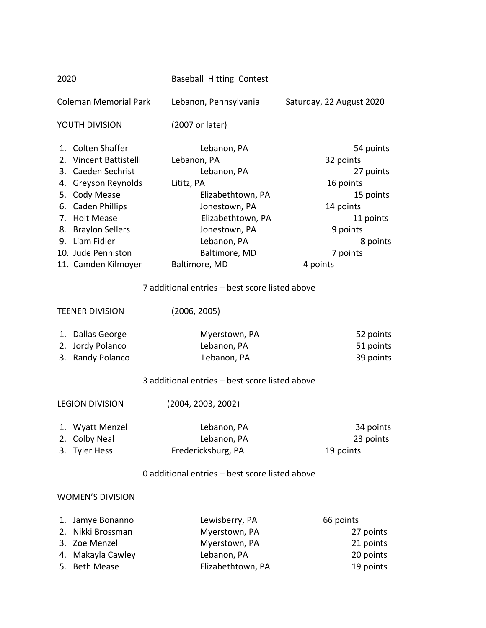| 2020                                                                                                                                                                                                                                 |                                                                                  | <b>Baseball Hitting Contest</b>                                                                                                                                                      |                                                                                                                                         |
|--------------------------------------------------------------------------------------------------------------------------------------------------------------------------------------------------------------------------------------|----------------------------------------------------------------------------------|--------------------------------------------------------------------------------------------------------------------------------------------------------------------------------------|-----------------------------------------------------------------------------------------------------------------------------------------|
|                                                                                                                                                                                                                                      | <b>Coleman Memorial Park</b>                                                     | Lebanon, Pennsylvania                                                                                                                                                                | Saturday, 22 August 2020                                                                                                                |
|                                                                                                                                                                                                                                      | YOUTH DIVISION                                                                   | (2007 or later)                                                                                                                                                                      |                                                                                                                                         |
| 1. Colten Shaffer<br>2. Vincent Battistelli<br>3. Caeden Sechrist<br>4. Greyson Reynolds<br>5. Cody Mease<br>6. Caden Phillips<br>7. Holt Mease<br>8. Braylon Sellers<br>9. Liam Fidler<br>10. Jude Penniston<br>11. Camden Kilmoyer |                                                                                  | Lebanon, PA<br>Lebanon, PA<br>Lebanon, PA<br>Lititz, PA<br>Elizabethtown, PA<br>Jonestown, PA<br>Elizabethtown, PA<br>Jonestown, PA<br>Lebanon, PA<br>Baltimore, MD<br>Baltimore, MD | 54 points<br>32 points<br>27 points<br>16 points<br>15 points<br>14 points<br>11 points<br>9 points<br>8 points<br>7 points<br>4 points |
|                                                                                                                                                                                                                                      |                                                                                  | 7 additional entries - best score listed above                                                                                                                                       |                                                                                                                                         |
| <b>TEENER DIVISION</b>                                                                                                                                                                                                               |                                                                                  | (2006, 2005)                                                                                                                                                                         |                                                                                                                                         |
| 2.                                                                                                                                                                                                                                   | 1. Dallas George<br>Jordy Polanco<br>3. Randy Polanco                            | Myerstown, PA<br>Lebanon, PA<br>Lebanon, PA<br>3 additional entries - best score listed above                                                                                        | 52 points<br>51 points<br>39 points                                                                                                     |
| <b>LEGION DIVISION</b>                                                                                                                                                                                                               |                                                                                  | (2004, 2003, 2002)                                                                                                                                                                   |                                                                                                                                         |
|                                                                                                                                                                                                                                      | 1. Wyatt Menzel<br>2. Colby Neal<br>3. Tyler Hess                                | Lebanon, PA<br>Lebanon, PA<br>Fredericksburg, PA<br>0 additional entries - best score listed above                                                                                   | 34 points<br>23 points<br>19 points                                                                                                     |
|                                                                                                                                                                                                                                      |                                                                                  |                                                                                                                                                                                      |                                                                                                                                         |
|                                                                                                                                                                                                                                      | <b>WOMEN'S DIVISION</b>                                                          |                                                                                                                                                                                      |                                                                                                                                         |
| 1.<br>2.<br>3.<br>4.                                                                                                                                                                                                                 | Jamye Bonanno<br>Nikki Brossman<br>Zoe Menzel<br>Makayla Cawley<br>5. Beth Mease | Lewisberry, PA<br>Myerstown, PA<br>Myerstown, PA<br>Lebanon, PA<br>Elizabethtown, PA                                                                                                 | 66 points<br>27 points<br>21 points<br>20 points<br>19 points                                                                           |